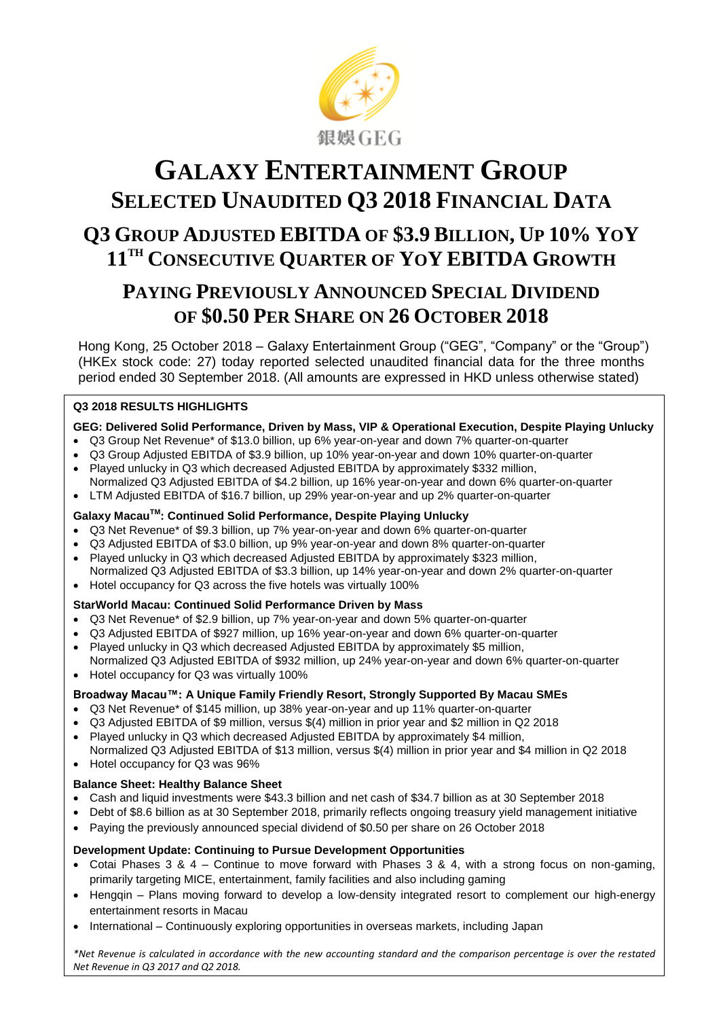

# **GALAXY ENTERTAINMENT GROUP SELECTED UNAUDITED Q3 2018 FINANCIAL DATA Q3 GROUP ADJUSTED EBITDA OF \$3.9 BILLION, UP 10% YOY 11TH CONSECUTIVE QUARTER OF YOY EBITDA GROWTH**

# **PAYING PREVIOUSLY ANNOUNCED SPECIAL DIVIDEND OF \$0.50 PER SHARE ON 26 OCTOBER 2018**

Hong Kong, 25 October 2018 – Galaxy Entertainment Group ("GEG", "Company" or the "Group") (HKEx stock code: 27) today reported selected unaudited financial data for the three months period ended 30 September 2018. (All amounts are expressed in HKD unless otherwise stated)

# **Q3 2018 RESULTS HIGHLIGHTS**

#### **GEG: Delivered Solid Performance, Driven by Mass, VIP & Operational Execution, Despite Playing Unlucky**

- Q3 Group Net Revenue\* of \$13.0 billion, up 6% year-on-year and down 7% quarter-on-quarter
- Q3 Group Adjusted EBITDA of \$3.9 billion, up 10% year-on-year and down 10% quarter-on-quarter
- Played unlucky in Q3 which decreased Adjusted EBITDA by approximately \$332 million, Normalized Q3 Adjusted EBITDA of \$4.2 billion, up 16% year-on-year and down 6% quarter-on-quarter
- LTM Adjusted EBITDA of \$16.7 billion, up 29% year-on-year and up 2% quarter-on-quarter

#### **Galaxy MacauTM: Continued Solid Performance, Despite Playing Unlucky**

- Q3 Net Revenue\* of \$9.3 billion, up 7% year-on-year and down 6% quarter-on-quarter
- Q3 Adjusted EBITDA of \$3.0 billion, up 9% year-on-year and down 8% quarter-on-quarter
- Played unlucky in Q3 which decreased Adjusted EBITDA by approximately \$323 million, Normalized Q3 Adjusted EBITDA of \$3.3 billion, up 14% year-on-year and down 2% quarter-on-quarter
- Hotel occupancy for Q3 across the five hotels was virtually 100%

#### **StarWorld Macau: Continued Solid Performance Driven by Mass**

- Q3 Net Revenue\* of \$2.9 billion, up 7% year-on-year and down 5% quarter-on-quarter
- Q3 Adjusted EBITDA of \$927 million, up 16% year-on-year and down 6% quarter-on-quarter
- Played unlucky in Q3 which decreased Adjusted EBITDA by approximately \$5 million,
- Normalized Q3 Adjusted EBITDA of \$932 million, up 24% year-on-year and down 6% quarter-on-quarter Hotel occupancy for Q3 was virtually 100%

#### **Broadway Macau™: A Unique Family Friendly Resort, Strongly Supported By Macau SMEs**

- Q3 Net Revenue\* of \$145 million, up 38% year-on-year and up 11% quarter-on-quarter
- Q3 Adjusted EBITDA of \$9 million, versus \$(4) million in prior year and \$2 million in Q2 2018
- Played unlucky in Q3 which decreased Adjusted EBITDA by approximately \$4 million,
- Normalized Q3 Adjusted EBITDA of \$13 million, versus \$(4) million in prior year and \$4 million in Q2 2018 • Hotel occupancy for Q3 was 96%

#### **Balance Sheet: Healthy Balance Sheet**

- Cash and liquid investments were \$43.3 billion and net cash of \$34.7 billion as at 30 September 2018
- Debt of \$8.6 billion as at 30 September 2018, primarily reflects ongoing treasury yield management initiative
- Paying the previously announced special dividend of \$0.50 per share on 26 October 2018

#### **Development Update: Continuing to Pursue Development Opportunities**

- Cotai Phases 3 & 4 Continue to move forward with Phases 3 & 4, with a strong focus on non-gaming, primarily targeting MICE, entertainment, family facilities and also including gaming
- Hengqin Plans moving forward to develop a low-density integrated resort to complement our high-energy entertainment resorts in Macau
- International Continuously exploring opportunities in overseas markets, including Japan

*\*Net Revenue is calculated in accordance with the new accounting standard and the comparison percentage is over the restated Net Revenue in Q3 2017 and Q2 2018.*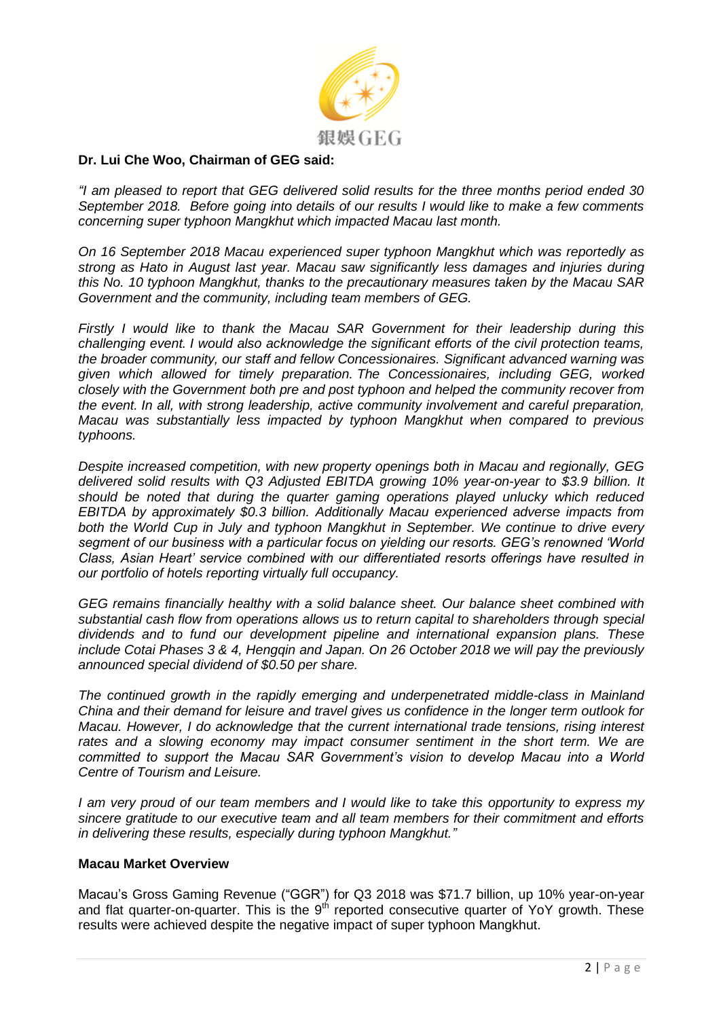

# **Dr. Lui Che Woo, Chairman of GEG said:**

*"I am pleased to report that GEG delivered solid results for the three months period ended 30 September 2018. Before going into details of our results I would like to make a few comments concerning super typhoon Mangkhut which impacted Macau last month.* 

*On 16 September 2018 Macau experienced super typhoon Mangkhut which was reportedly as strong as Hato in August last year. Macau saw significantly less damages and injuries during this No. 10 typhoon Mangkhut, thanks to the precautionary measures taken by the Macau SAR Government and the community, including team members of GEG.* 

*Firstly I would like to thank the Macau SAR Government for their leadership during this challenging event. I would also acknowledge the significant efforts of the civil protection teams, the broader community, our staff and fellow Concessionaires. Significant advanced warning was given which allowed for timely preparation. The Concessionaires, including GEG, worked closely with the Government both pre and post typhoon and helped the community recover from the event. In all, with strong leadership, active community involvement and careful preparation, Macau was substantially less impacted by typhoon Mangkhut when compared to previous typhoons.*

*Despite increased competition, with new property openings both in Macau and regionally, GEG delivered solid results with Q3 Adjusted EBITDA growing 10% year-on-year to \$3.9 billion. It should be noted that during the quarter gaming operations played unlucky which reduced EBITDA by approximately \$0.3 billion. Additionally Macau experienced adverse impacts from both the World Cup in July and typhoon Mangkhut in September. We continue to drive every segment of our business with a particular focus on yielding our resorts. GEG's renowned 'World Class, Asian Heart' service combined with our differentiated resorts offerings have resulted in our portfolio of hotels reporting virtually full occupancy.*

*GEG remains financially healthy with a solid balance sheet. Our balance sheet combined with substantial cash flow from operations allows us to return capital to shareholders through special dividends and to fund our development pipeline and international expansion plans. These include Cotai Phases 3 & 4, Hengqin and Japan. On 26 October 2018 we will pay the previously announced special dividend of \$0.50 per share.*

*The continued growth in the rapidly emerging and underpenetrated middle-class in Mainland China and their demand for leisure and travel gives us confidence in the longer term outlook for Macau. However, I do acknowledge that the current international trade tensions, rising interest rates and a slowing economy may impact consumer sentiment in the short term. We are committed to support the Macau SAR Government's vision to develop Macau into a World Centre of Tourism and Leisure.* 

*I am very proud of our team members and I would like to take this opportunity to express my sincere gratitude to our executive team and all team members for their commitment and efforts in delivering these results, especially during typhoon Mangkhut."*

#### **Macau Market Overview**

Macau's Gross Gaming Revenue ("GGR") for Q3 2018 was \$71.7 billion, up 10% year-on-year and flat quarter-on-quarter. This is the  $9<sup>th</sup>$  reported consecutive quarter of YoY growth. These results were achieved despite the negative impact of super typhoon Mangkhut.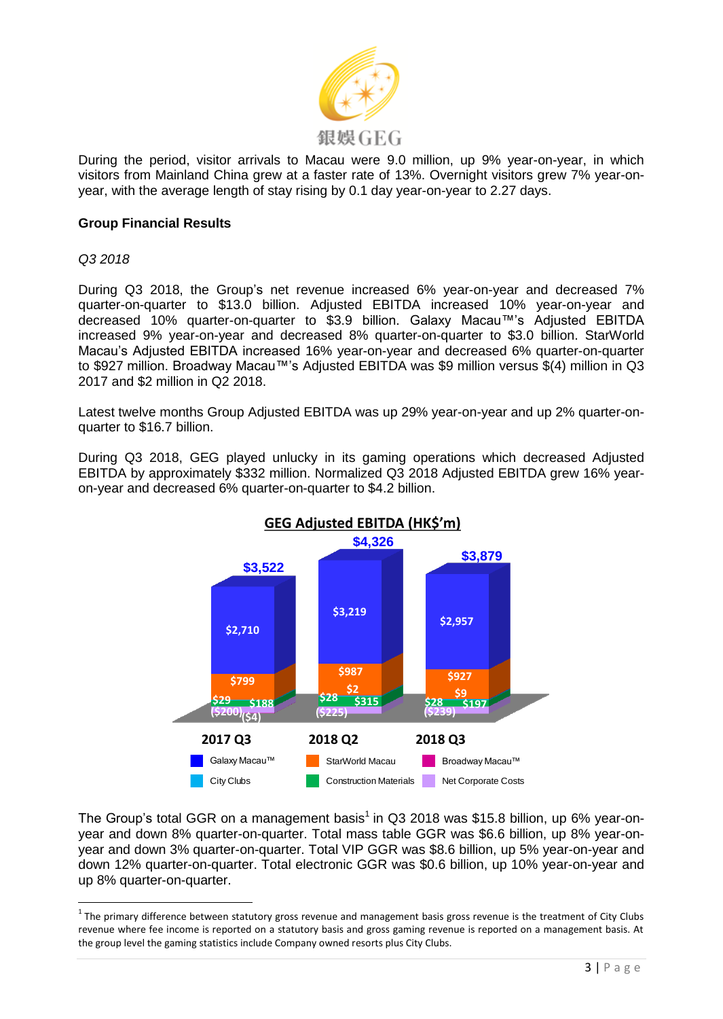

During the period, visitor arrivals to Macau were 9.0 million, up 9% year-on-year, in which visitors from Mainland China grew at a faster rate of 13%. Overnight visitors grew 7% year-onyear, with the average length of stay rising by 0.1 day year-on-year to 2.27 days.

# **Group Financial Results**

*Q3 2018*

 $\overline{a}$ 

During Q3 2018, the Group's net revenue increased 6% year-on-year and decreased 7% quarter-on-quarter to \$13.0 billion. Adjusted EBITDA increased 10% year-on-year and decreased 10% quarter-on-quarter to \$3.9 billion. Galaxy Macau™'s Adjusted EBITDA increased 9% year-on-year and decreased 8% quarter-on-quarter to \$3.0 billion. StarWorld Macau's Adjusted EBITDA increased 16% year-on-year and decreased 6% quarter-on-quarter to \$927 million. Broadway Macau™'s Adjusted EBITDA was \$9 million versus \$(4) million in Q3 2017 and \$2 million in Q2 2018.

Latest twelve months Group Adjusted EBITDA was up 29% year-on-year and up 2% quarter-onquarter to \$16.7 billion.

During Q3 2018, GEG played unlucky in its gaming operations which decreased Adjusted EBITDA by approximately \$332 million. Normalized Q3 2018 Adjusted EBITDA grew 16% yearon-year and decreased 6% quarter-on-quarter to \$4.2 billion.



The Group's total GGR on a management basis<sup>1</sup> in Q3 2018 was \$15.8 billion, up 6% year-onyear and down 8% quarter-on-quarter. Total mass table GGR was \$6.6 billion, up 8% year-onyear and down 3% quarter-on-quarter. Total VIP GGR was \$8.6 billion, up 5% year-on-year and down 12% quarter-on-quarter. Total electronic GGR was \$0.6 billion, up 10% year-on-year and up 8% quarter-on-quarter.

 $1$  The primary difference between statutory gross revenue and management basis gross revenue is the treatment of City Clubs revenue where fee income is reported on a statutory basis and gross gaming revenue is reported on a management basis. At the group level the gaming statistics include Company owned resorts plus City Clubs.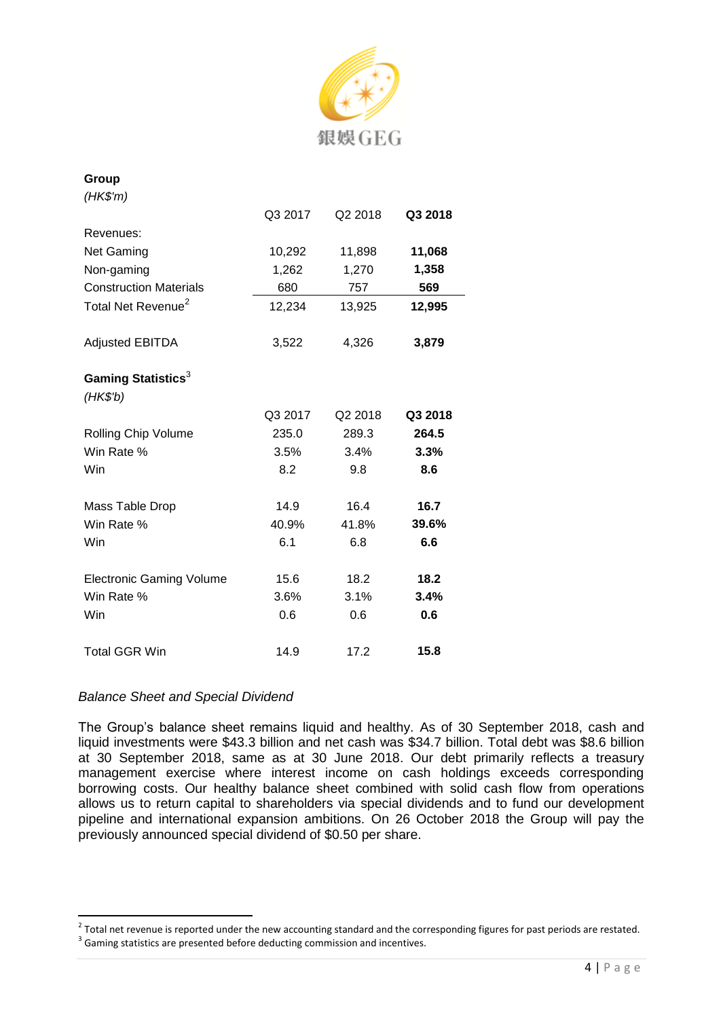

| Group                                      |         |         |         |
|--------------------------------------------|---------|---------|---------|
| (HK\$'m)                                   |         |         |         |
|                                            | Q3 2017 | Q2 2018 | Q3 2018 |
| Revenues:                                  |         |         |         |
| <b>Net Gaming</b>                          | 10,292  | 11,898  | 11,068  |
| Non-gaming                                 | 1,262   | 1,270   | 1,358   |
| <b>Construction Materials</b>              | 680     | 757     | 569     |
| Total Net Revenue <sup>2</sup>             | 12,234  | 13,925  | 12,995  |
| <b>Adjusted EBITDA</b>                     | 3,522   | 4,326   | 3,879   |
| Gaming Statistics <sup>3</sup><br>(HK\$'b) |         |         |         |
|                                            | Q3 2017 | Q2 2018 | Q3 2018 |
| Rolling Chip Volume                        | 235.0   | 289.3   | 264.5   |
| Win Rate %                                 | 3.5%    | 3.4%    | 3.3%    |
| Win                                        | 8.2     | 9.8     | 8.6     |
| Mass Table Drop                            | 14.9    | 16.4    | 16.7    |
| Win Rate %                                 | 40.9%   | 41.8%   | 39.6%   |
| Win                                        | 6.1     | 6.8     | 6.6     |
| <b>Electronic Gaming Volume</b>            | 15.6    | 18.2    | 18.2    |
| Win Rate %                                 | 3.6%    | 3.1%    | 3.4%    |
| Win                                        | 0.6     | 0.6     | 0.6     |
| <b>Total GGR Win</b>                       | 14.9    | 17.2    | 15.8    |

# *Balance Sheet and Special Dividend*

The Group's balance sheet remains liquid and healthy. As of 30 September 2018, cash and liquid investments were \$43.3 billion and net cash was \$34.7 billion. Total debt was \$8.6 billion at 30 September 2018, same as at 30 June 2018. Our debt primarily reflects a treasury management exercise where interest income on cash holdings exceeds corresponding borrowing costs. Our healthy balance sheet combined with solid cash flow from operations allows us to return capital to shareholders via special dividends and to fund our development pipeline and international expansion ambitions. On 26 October 2018 the Group will pay the previously announced special dividend of \$0.50 per share.

 2 Total net revenue is reported under the new accounting standard and the corresponding figures for past periods are restated.  $3$  Gaming statistics are presented before deducting commission and incentives.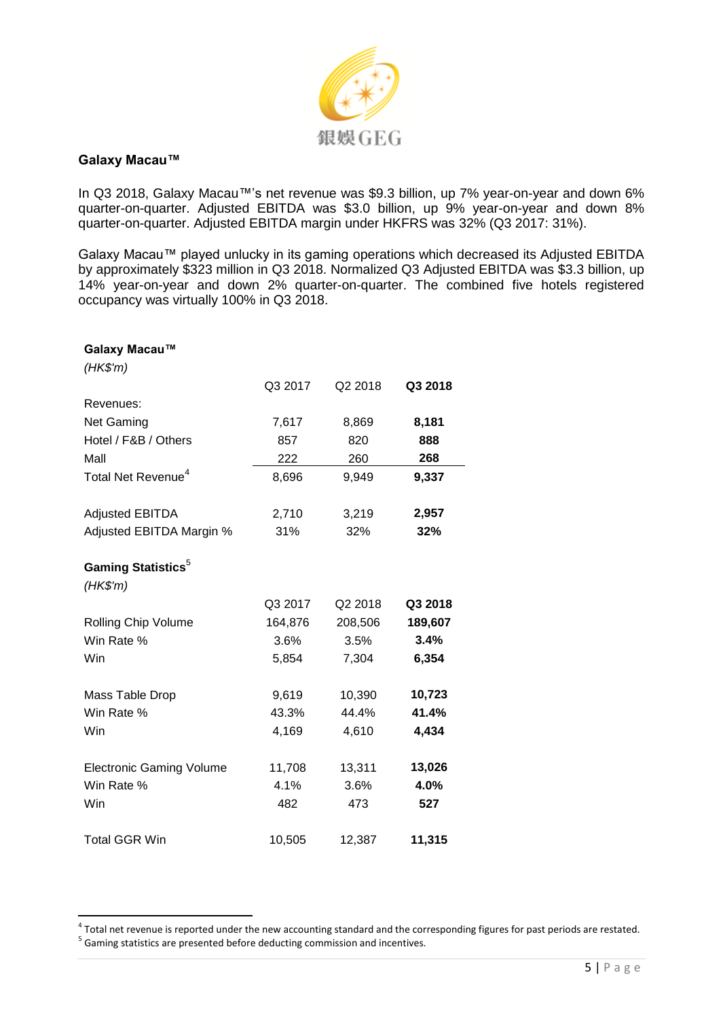

#### **Galaxy Macau™**

In Q3 2018, Galaxy Macau™'s net revenue was \$9.3 billion, up 7% year-on-year and down 6% quarter-on-quarter. Adjusted EBITDA was \$3.0 billion, up 9% year-on-year and down 8% quarter-on-quarter. Adjusted EBITDA margin under HKFRS was 32% (Q3 2017: 31%).

Galaxy Macau™ played unlucky in its gaming operations which decreased its Adjusted EBITDA by approximately \$323 million in Q3 2018. Normalized Q3 Adjusted EBITDA was \$3.3 billion, up 14% year-on-year and down 2% quarter-on-quarter. The combined five hotels registered occupancy was virtually 100% in Q3 2018.

| Galaxy Macau™                   |         |         |         |
|---------------------------------|---------|---------|---------|
| (HK\$'m)                        |         |         |         |
|                                 | Q3 2017 | Q2 2018 | Q3 2018 |
| Revenues:                       |         |         |         |
| <b>Net Gaming</b>               | 7,617   | 8,869   | 8,181   |
| Hotel / F&B / Others            | 857     | 820     | 888     |
| Mall                            | 222     | 260     | 268     |
| Total Net Revenue <sup>4</sup>  | 8,696   | 9,949   | 9,337   |
| <b>Adjusted EBITDA</b>          | 2,710   | 3,219   | 2,957   |
| Adjusted EBITDA Margin %        | 31%     | 32%     | 32%     |
|                                 |         |         |         |
| Gaming Statistics <sup>5</sup>  |         |         |         |
| (HK\$'m)                        |         |         |         |
|                                 | Q3 2017 | Q2 2018 | Q3 2018 |
| Rolling Chip Volume             | 164,876 | 208,506 | 189,607 |
| Win Rate %                      | 3.6%    | 3.5%    | 3.4%    |
| Win                             | 5,854   | 7,304   | 6,354   |
| Mass Table Drop                 | 9,619   | 10,390  | 10,723  |
| Win Rate %                      | 43.3%   | 44.4%   | 41.4%   |
| Win                             | 4,169   | 4,610   | 4,434   |
| <b>Electronic Gaming Volume</b> | 11,708  | 13,311  | 13,026  |
| Win Rate %                      | 4.1%    | 3.6%    | 4.0%    |
| Win                             | 482     | 473     | 527     |
| <b>Total GGR Win</b>            | 10,505  | 12,387  | 11,315  |

 4 Total net revenue is reported under the new accounting standard and the corresponding figures for past periods are restated. <sup>5</sup> Gaming statistics are presented before deducting commission and incentives.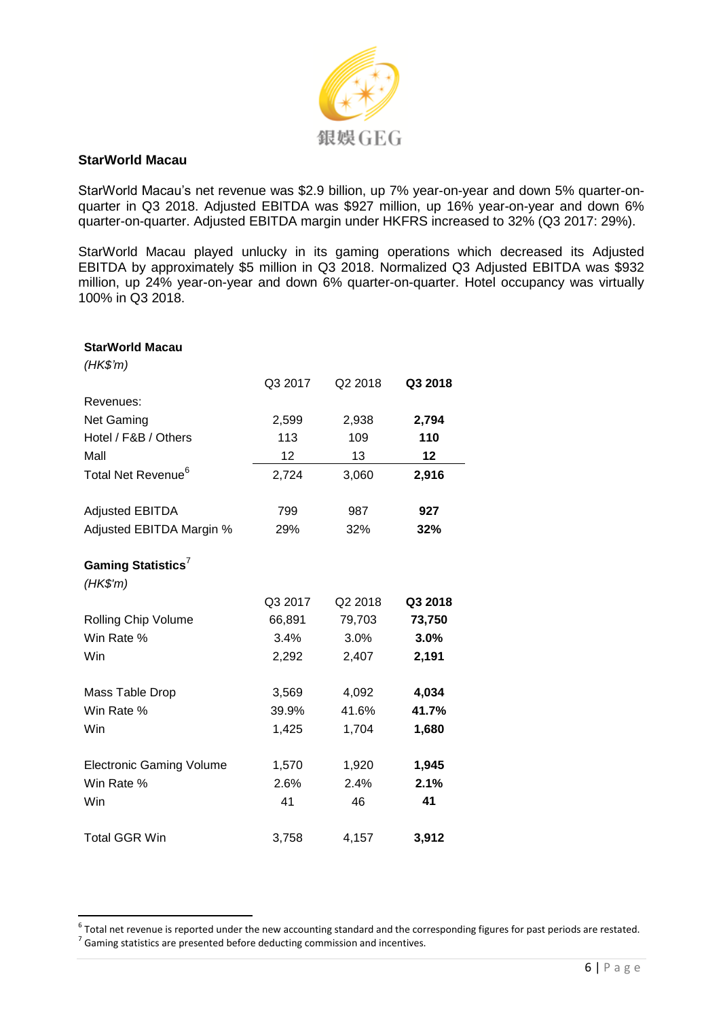

### **StarWorld Macau**

StarWorld Macau's net revenue was \$2.9 billion, up 7% year-on-year and down 5% quarter-onquarter in Q3 2018. Adjusted EBITDA was \$927 million, up 16% year-on-year and down 6% quarter-on-quarter. Adjusted EBITDA margin under HKFRS increased to 32% (Q3 2017: 29%).

StarWorld Macau played unlucky in its gaming operations which decreased its Adjusted EBITDA by approximately \$5 million in Q3 2018. Normalized Q3 Adjusted EBITDA was \$932 million, up 24% year-on-year and down 6% quarter-on-quarter. Hotel occupancy was virtually 100% in Q3 2018.

| <b>StarWorld Macau</b>          |         |         |         |
|---------------------------------|---------|---------|---------|
| $(HK\$ <sup>'m</sup> )          |         |         |         |
|                                 | Q3 2017 | Q2 2018 | Q3 2018 |
| Revenues:                       |         |         |         |
| Net Gaming                      | 2,599   | 2,938   | 2,794   |
| Hotel / F&B / Others            | 113     | 109     | 110     |
| Mall                            | 12      | 13      | 12      |
| Total Net Revenue <sup>6</sup>  | 2,724   | 3,060   | 2,916   |
| <b>Adjusted EBITDA</b>          | 799     | 987     | 927     |
| Adjusted EBITDA Margin %        | 29%     | 32%     | 32%     |
|                                 |         |         |         |
| Gaming Statistics <sup>7</sup>  |         |         |         |
| $(HK\$ 'm)                      |         |         |         |
|                                 | Q3 2017 | Q2 2018 | Q3 2018 |
| Rolling Chip Volume             | 66,891  | 79,703  | 73,750  |
| Win Rate %                      | 3.4%    | 3.0%    | 3.0%    |
| Win                             | 2,292   | 2,407   | 2,191   |
| Mass Table Drop                 | 3,569   | 4,092   | 4,034   |
| Win Rate %                      | 39.9%   | 41.6%   | 41.7%   |
| Win                             | 1,425   | 1,704   | 1,680   |
|                                 |         |         |         |
| <b>Electronic Gaming Volume</b> | 1,570   | 1,920   | 1,945   |
| Win Rate %                      | 2.6%    | 2.4%    | 2.1%    |
| Win                             | 41      | 46      | 41      |
| <b>Total GGR Win</b>            | 3,758   | 4,157   | 3,912   |

 6 Total net revenue is reported under the new accounting standard and the corresponding figures for past periods are restated.  $<sup>7</sup>$  Gaming statistics are presented before deducting commission and incentives.</sup>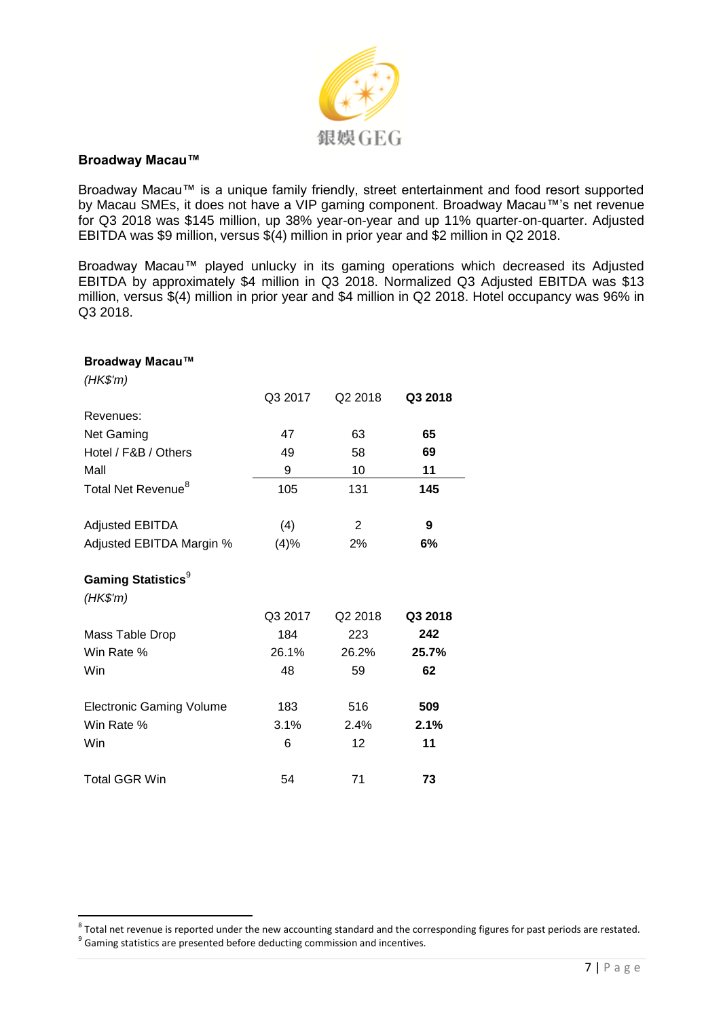

#### **Broadway Macau™**

Broadway Macau™ is a unique family friendly, street entertainment and food resort supported by Macau SMEs, it does not have a VIP gaming component. Broadway Macau™'s net revenue for Q3 2018 was \$145 million, up 38% year-on-year and up 11% quarter-on-quarter. Adjusted EBITDA was \$9 million, versus \$(4) million in prior year and \$2 million in Q2 2018.

Broadway Macau™ played unlucky in its gaming operations which decreased its Adjusted EBITDA by approximately \$4 million in Q3 2018. Normalized Q3 Adjusted EBITDA was \$13 million, versus \$(4) million in prior year and \$4 million in Q2 2018. Hotel occupancy was 96% in Q3 2018.

| Broadway Macau™                 |         |                |         |
|---------------------------------|---------|----------------|---------|
| $(HK\$ 'm)                      |         |                |         |
|                                 | Q3 2017 | Q2 2018        | Q3 2018 |
| Revenues:                       |         |                |         |
| Net Gaming                      | 47      | 63             | 65      |
| Hotel / F&B / Others            | 49      | 58             | 69      |
| Mall                            | 9       | 10             | 11      |
| Total Net Revenue <sup>8</sup>  | 105     | 131            | 145     |
| <b>Adjusted EBITDA</b>          | (4)     | $\overline{2}$ | 9       |
| Adjusted EBITDA Margin %        | (4)%    | 2%             | 6%      |
| Gaming Statistics <sup>9</sup>  |         |                |         |
| (HK\$'m)                        |         |                |         |
|                                 | Q3 2017 | Q2 2018        | Q3 2018 |
| Mass Table Drop                 | 184     | 223            | 242     |
| Win Rate %                      | 26.1%   | 26.2%          | 25.7%   |
| Win                             | 48      | 59             | 62      |
| <b>Electronic Gaming Volume</b> | 183     | 516            | 509     |
| Win Rate %                      | 3.1%    | 2.4%           | 2.1%    |
| Win                             | 6       | 12             | 11      |
| <b>Total GGR Win</b>            | 54      | 71             | 73      |

 8 Total net revenue is reported under the new accounting standard and the corresponding figures for past periods are restated.  $9$  Gaming statistics are presented before deducting commission and incentives.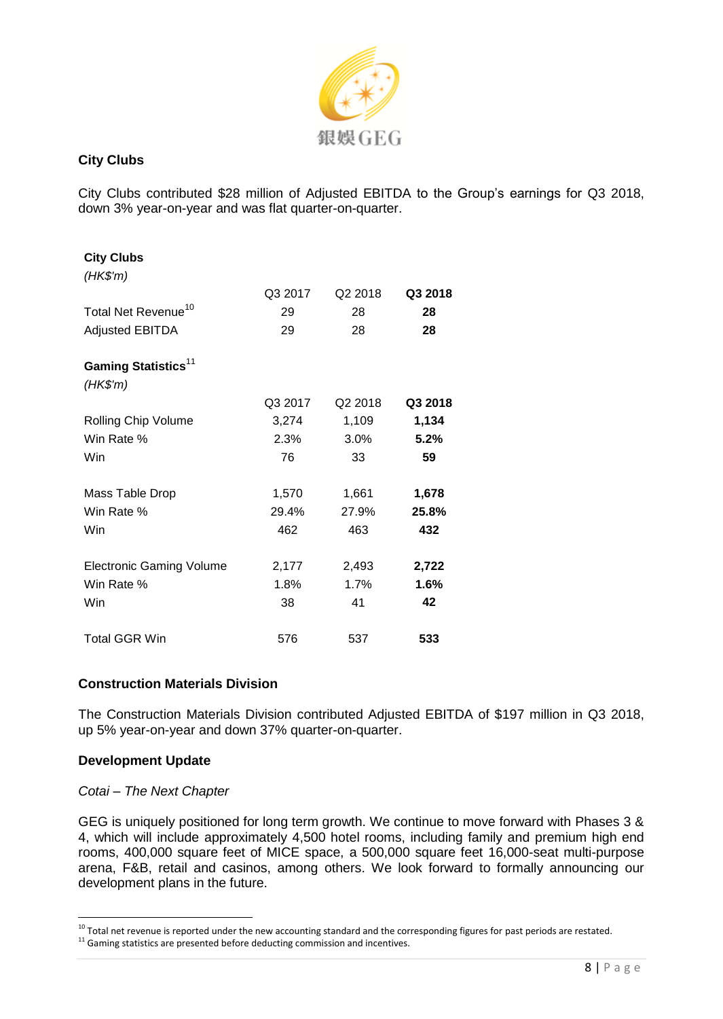

# **City Clubs**

City Clubs contributed \$28 million of Adjusted EBITDA to the Group's earnings for Q3 2018, down 3% year-on-year and was flat quarter-on-quarter.

| <b>City Clubs</b>               |         |                     |         |
|---------------------------------|---------|---------------------|---------|
| (HK\$'m)                        |         |                     |         |
|                                 | Q3 2017 | Q <sub>2</sub> 2018 | Q3 2018 |
| Total Net Revenue <sup>10</sup> | 29      | 28                  | 28      |
| <b>Adjusted EBITDA</b>          | 29      | 28                  | 28      |
| Gaming Statistics <sup>11</sup> |         |                     |         |
| $(HK\$ 'm)                      |         |                     |         |
|                                 | Q3 2017 | Q2 2018             | Q3 2018 |
| Rolling Chip Volume             | 3,274   | 1,109               | 1,134   |
| Win Rate %                      | 2.3%    | 3.0%                | 5.2%    |
| Win                             | 76      | 33                  | 59      |
| Mass Table Drop                 | 1,570   | 1,661               | 1,678   |
| Win Rate %                      | 29.4%   | 27.9%               | 25.8%   |
| Win                             | 462     | 463                 | 432     |
| <b>Electronic Gaming Volume</b> | 2,177   | 2,493               | 2,722   |
| Win Rate %                      | 1.8%    | 1.7%                | 1.6%    |
| Win                             | 38      | 41                  | 42      |
| <b>Total GGR Win</b>            | 576     | 537                 | 533     |

# **Construction Materials Division**

The Construction Materials Division contributed Adjusted EBITDA of \$197 million in Q3 2018, up 5% year-on-year and down 37% quarter-on-quarter.

# **Development Update**

I

#### *Cotai – The Next Chapter*

GEG is uniquely positioned for long term growth. We continue to move forward with Phases 3 & 4, which will include approximately 4,500 hotel rooms, including family and premium high end rooms, 400,000 square feet of MICE space, a 500,000 square feet 16,000-seat multi-purpose arena, F&B, retail and casinos, among others. We look forward to formally announcing our development plans in the future.

 $10$  Total net revenue is reported under the new accounting standard and the corresponding figures for past periods are restated.

 $11$  Gaming statistics are presented before deducting commission and incentives.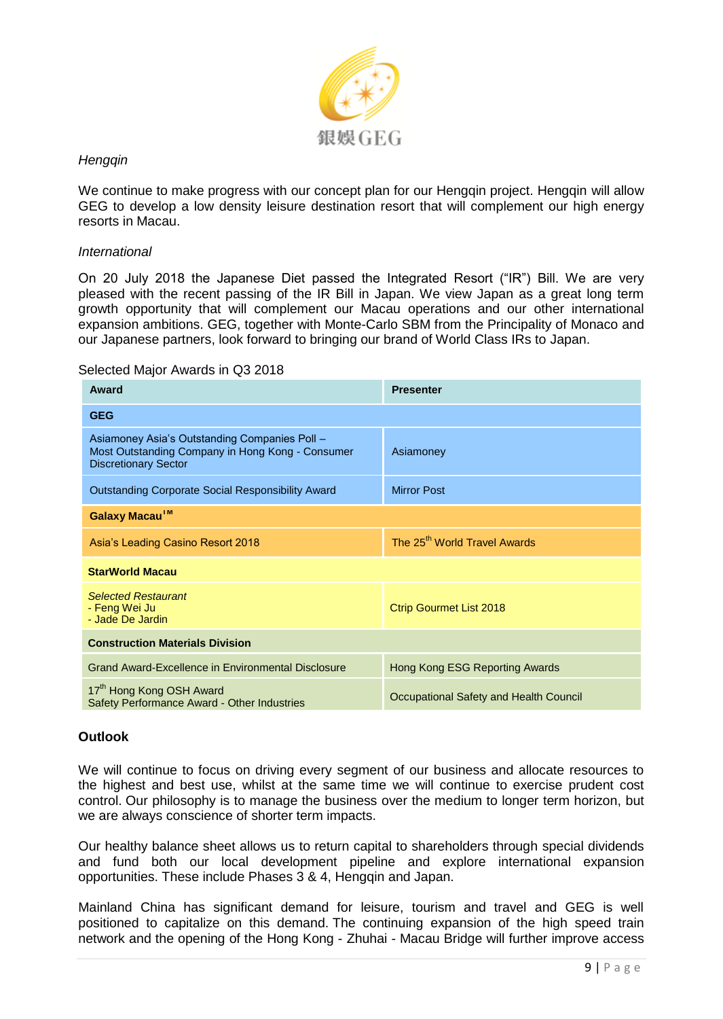

# *Hengqin*

We continue to make progress with our concept plan for our Hengqin project. Hengqin will allow GEG to develop a low density leisure destination resort that will complement our high energy resorts in Macau.

#### *International*

On 20 July 2018 the Japanese Diet passed the Integrated Resort ("IR") Bill. We are very pleased with the recent passing of the IR Bill in Japan. We view Japan as a great long term growth opportunity that will complement our Macau operations and our other international expansion ambitions. GEG, together with Monte-Carlo SBM from the Principality of Monaco and our Japanese partners, look forward to bringing our brand of World Class IRs to Japan.

#### Selected Major Awards in Q3 2018

| Award                                                                                                                            | <b>Presenter</b>                         |  |  |
|----------------------------------------------------------------------------------------------------------------------------------|------------------------------------------|--|--|
| <b>GEG</b>                                                                                                                       |                                          |  |  |
| Asiamoney Asia's Outstanding Companies Poll -<br>Most Outstanding Company in Hong Kong - Consumer<br><b>Discretionary Sector</b> | Asiamoney                                |  |  |
| <b>Outstanding Corporate Social Responsibility Award</b>                                                                         | <b>Mirror Post</b>                       |  |  |
| Galaxy Macau™                                                                                                                    |                                          |  |  |
| Asia's Leading Casino Resort 2018                                                                                                | The 25 <sup>th</sup> World Travel Awards |  |  |
| <b>StarWorld Macau</b>                                                                                                           |                                          |  |  |
| <b>Selected Restaurant</b><br>- Feng Wei Ju<br>- Jade De Jardin                                                                  | <b>Ctrip Gourmet List 2018</b>           |  |  |
| <b>Construction Materials Division</b>                                                                                           |                                          |  |  |
| Grand Award-Excellence in Environmental Disclosure                                                                               | Hong Kong ESG Reporting Awards           |  |  |
| 17 <sup>th</sup> Hong Kong OSH Award<br>Safety Performance Award - Other Industries                                              | Occupational Safety and Health Council   |  |  |

# **Outlook**

We will continue to focus on driving every segment of our business and allocate resources to the highest and best use, whilst at the same time we will continue to exercise prudent cost control. Our philosophy is to manage the business over the medium to longer term horizon, but we are always conscience of shorter term impacts.

Our healthy balance sheet allows us to return capital to shareholders through special dividends and fund both our local development pipeline and explore international expansion opportunities. These include Phases 3 & 4, Hengqin and Japan.

Mainland China has significant demand for leisure, tourism and travel and GEG is well positioned to capitalize on this demand. The continuing expansion of the high speed train network and the opening of the Hong Kong - Zhuhai - Macau Bridge will further improve access